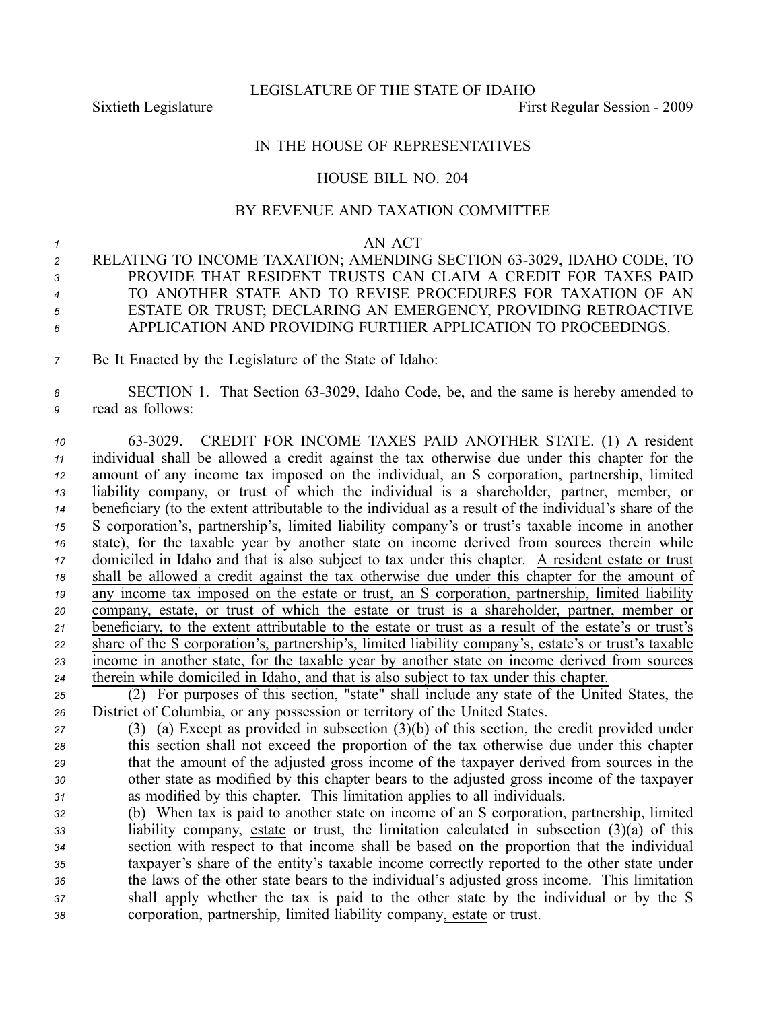LEGISLATURE OF THE STATE OF IDAHO

Sixtieth Legislature **First** Regular Session - 2009

## IN THE HOUSE OF REPRESENTATIVES

# HOUSE BILL NO. 204

# BY REVENUE AND TAXATION COMMITTEE

### *1* AN ACT

- 2 RELATING TO INCOME TAXATION; AMENDING SECTION 63-3029, IDAHO CODE, TO *3* PROVIDE THAT RESIDENT TRUSTS CAN CLAIM A CREDIT FOR TAXES PAID *<sup>4</sup>* TO ANOTHER STATE AND TO REVISE PROCEDURES FOR TAXATION OF AN *<sup>5</sup>* ESTATE OR TRUST; DECLARING AN EMERGENCY, PROVIDING RETROACTIVE *6* APPLICATION AND PROVIDING FURTHER APPLICATION TO PROCEEDINGS.
- *<sup>7</sup>* Be It Enacted by the Legislature of the State of Idaho:

## 8 **SECTION 1.** That Section 63-3029, Idaho Code, be, and the same is hereby amended to *<sup>9</sup>* read as follows:

 633029. CREDIT FOR INCOME TAXES PAID ANOTHER STATE. (1) A resident individual shall be allowed <sup>a</sup> credit against the tax otherwise due under this chapter for the amount of any income tax imposed on the individual, an S corporation, partnership, limited liability company, or trust of which the individual is <sup>a</sup> shareholder, partner, member, or beneficiary (to the extent attributable to the individual as <sup>a</sup> result of the individual's share of the S corporation's, partnership's, limited liability company's or trust's taxable income in another state), for the taxable year by another state on income derived from sources therein while domiciled in Idaho and that is also subject to tax under this chapter. A resident estate or trust shall be allowed <sup>a</sup> credit against the tax otherwise due under this chapter for the amount of any income tax imposed on the estate or trust, an S corporation, partnership, limited liability company, estate, or trust of which the estate or trust is <sup>a</sup> shareholder, partner, member or beneficiary, to the extent attributable to the estate or trust as <sup>a</sup> result of the estate's or trust's share of the S corporation's, partnership's, limited liability company's, estate's or trust's taxable income in another state, for the taxable year by another state on income derived from sources therein while domiciled in Idaho, and that is also subject to tax under this chapter.

*<sup>25</sup>* (2) For purposes of this section, "state" shall include any state of the United States, the *<sup>26</sup>* District of Columbia, or any possession or territory of the United States.

- *<sup>27</sup>* (3) (a) Except as provided in subsection (3)(b) of this section, the credit provided under *<sup>28</sup>* this section shall not exceed the proportion of the tax otherwise due under this chapter *<sup>29</sup>* that the amount of the adjusted gross income of the taxpayer derived from sources in the *<sup>30</sup>* other state as modified by this chapter bears to the adjusted gross income of the taxpayer *<sup>31</sup>* as modified by this chapter. This limitation applies to all individuals.
- *<sup>32</sup>* (b) When tax is paid to another state on income of an S corporation, partnership, limited *<sup>33</sup>* liability company, estate or trust, the limitation calculated in subsection (3)(a) of this *<sup>34</sup>* section with respec<sup>t</sup> to that income shall be based on the proportion that the individual *<sup>35</sup>* taxpayer's share of the entity's taxable income correctly reported to the other state under *<sup>36</sup>* the laws of the other state bears to the individual's adjusted gross income. This limitation *<sup>37</sup>* shall apply whether the tax is paid to the other state by the individual or by the S *<sup>38</sup>* corporation, partnership, limited liability company, estate or trust.